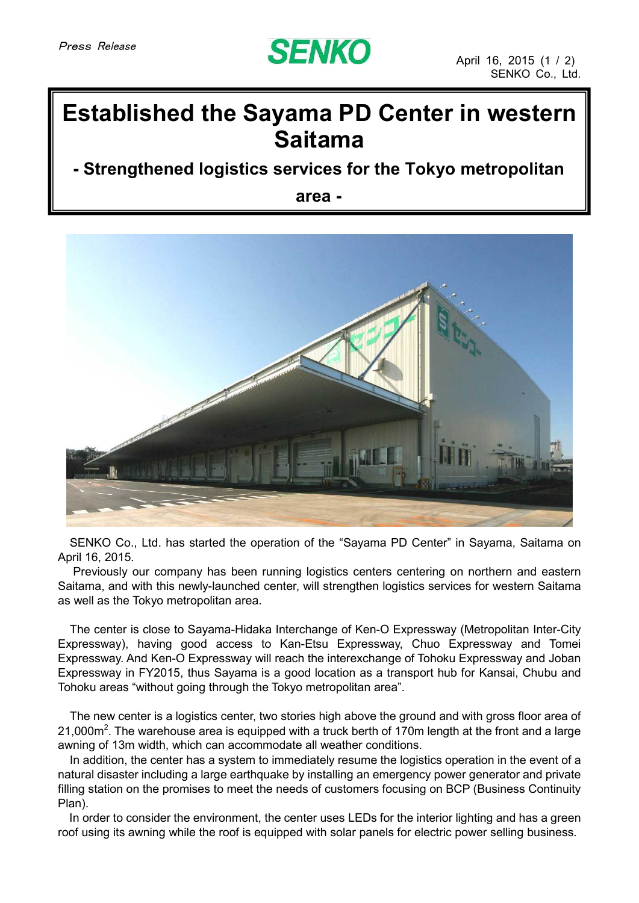

## **Established the Sayama PD Center in western Saitama**

## **- Strengthened logistics services for the Tokyo metropolitan**

**area -**



SENKO Co., Ltd. has started the operation of the "Sayama PD Center" in Sayama, Saitama on April 16, 2015.

Previously our company has been running logistics centers centering on northern and eastern Saitama, and with this newly-launched center, will strengthen logistics services for western Saitama as well as the Tokyo metropolitan area.

The center is close to Sayama-Hidaka Interchange of Ken-O Expressway (Metropolitan Inter-City Expressway), having good access to Kan-Etsu Expressway, Chuo Expressway and Tomei Expressway. And Ken-O Expressway will reach the interexchange of Tohoku Expressway and Joban Expressway in FY2015, thus Sayama is a good location as a transport hub for Kansai, Chubu and Tohoku areas "without going through the Tokyo metropolitan area".

The new center is a logistics center, two stories high above the ground and with gross floor area of 21,000m<sup>2</sup>. The warehouse area is equipped with a truck berth of 170m length at the front and a large awning of 13m width, which can accommodate all weather conditions.

In addition, the center has a system to immediately resume the logistics operation in the event of a natural disaster including a large earthquake by installing an emergency power generator and private filling station on the promises to meet the needs of customers focusing on BCP (Business Continuity Plan).

In order to consider the environment, the center uses LEDs for the interior lighting and has a green roof using its awning while the roof is equipped with solar panels for electric power selling business.